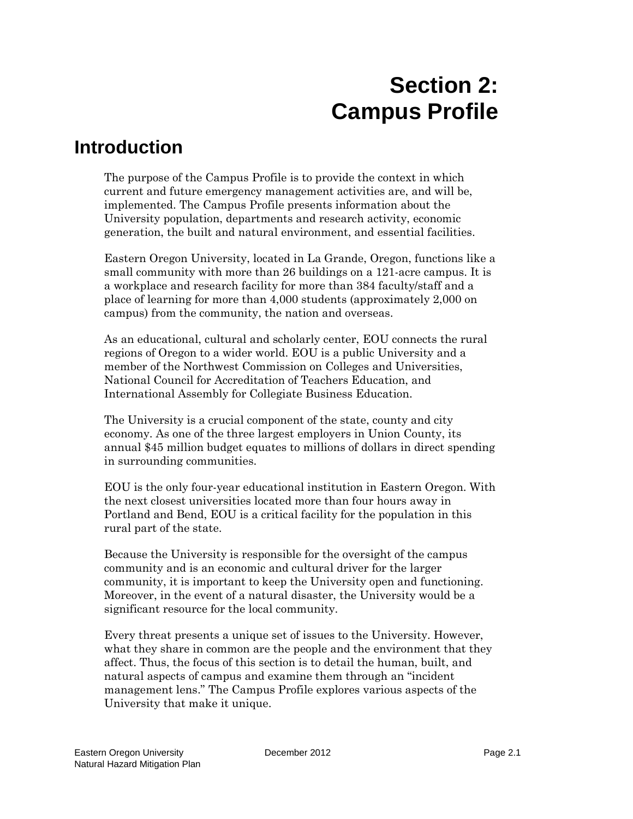# **Section 2: Campus Profile**

# **Introduction**

The purpose of the Campus Profile is to provide the context in which current and future emergency management activities are, and will be, implemented. The Campus Profile presents information about the University population, departments and research activity, economic generation, the built and natural environment, and essential facilities.

Eastern Oregon University, located in La Grande, Oregon, functions like a small community with more than 26 buildings on a 121-acre campus. It is a workplace and research facility for more than 384 faculty/staff and a place of learning for more than 4,000 students (approximately 2,000 on campus) from the community, the nation and overseas.

As an educational, cultural and scholarly center, EOU connects the rural regions of Oregon to a wider world. EOU is a public University and a member of the Northwest Commission on Colleges and Universities, National Council for Accreditation of Teachers Education, and International Assembly for Collegiate Business Education.

The University is a crucial component of the state, county and city economy. As one of the three largest employers in Union County, its annual \$45 million budget equates to millions of dollars in direct spending in surrounding communities.

EOU is the only four-year educational institution in Eastern Oregon. With the next closest universities located more than four hours away in Portland and Bend, EOU is a critical facility for the population in this rural part of the state.

Because the University is responsible for the oversight of the campus community and is an economic and cultural driver for the larger community, it is important to keep the University open and functioning. Moreover, in the event of a natural disaster, the University would be a significant resource for the local community.

Every threat presents a unique set of issues to the University. However, what they share in common are the people and the environment that they affect. Thus, the focus of this section is to detail the human, built, and natural aspects of campus and examine them through an "incident management lens." The Campus Profile explores various aspects of the University that make it unique.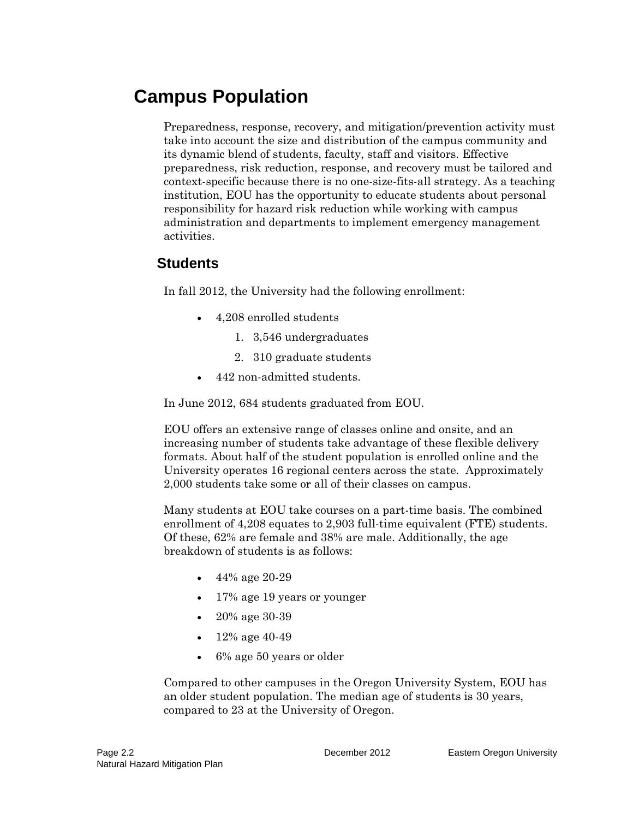# **Campus Population**

Preparedness, response, recovery, and mitigation/prevention activity must take into account the size and distribution of the campus community and its dynamic blend of students, faculty, staff and visitors. Effective preparedness, risk reduction, response, and recovery must be tailored and context-specific because there is no one-size-fits-all strategy. As a teaching institution, EOU has the opportunity to educate students about personal responsibility for hazard risk reduction while working with campus administration and departments to implement emergency management activities.

## **Students**

In fall 2012, the University had the following enrollment:

- 4,208 enrolled students
	- 1. 3,546 undergraduates
	- 2. 310 graduate students
- 442 non-admitted students.

In June 2012, 684 students graduated from EOU.

EOU offers an extensive range of classes online and onsite, and an increasing number of students take advantage of these flexible delivery formats. About half of the student population is enrolled online and the University operates 16 regional centers across the state. Approximately 2,000 students take some or all of their classes on campus.

Many students at EOU take courses on a part-time basis. The combined enrollment of 4,208 equates to 2,903 full-time equivalent (FTE) students. Of these, 62% are female and 38% are male. Additionally, the age breakdown of students is as follows:

- 44% age 20-29
- 17% age 19 years or younger
- 20% age 30-39
- $12\%$  age 40-49
- 6% age 50 years or older

Compared to other campuses in the Oregon University System, EOU has an older student population. The median age of students is 30 years, compared to 23 at the University of Oregon.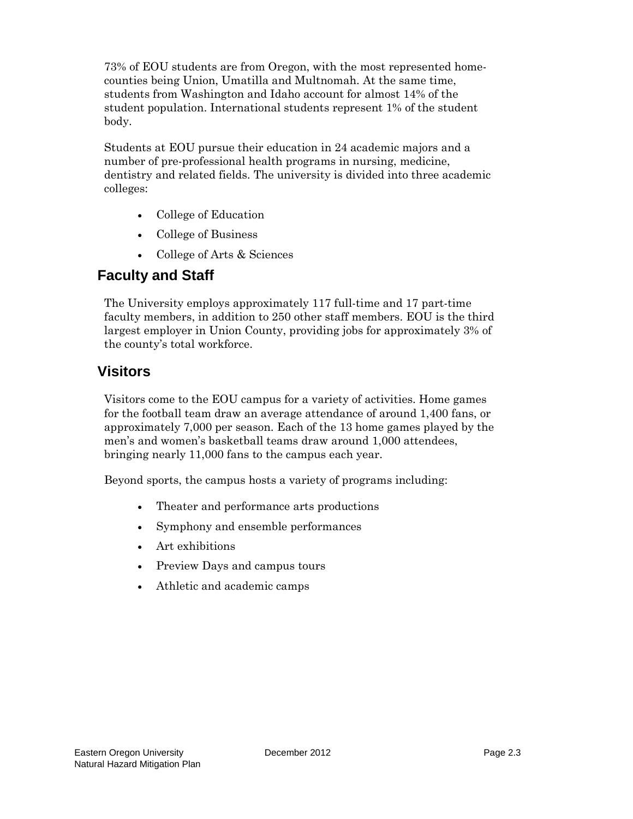73% of EOU students are from Oregon, with the most represented homecounties being Union, Umatilla and Multnomah. At the same time, students from Washington and Idaho account for almost 14% of the student population. International students represent 1% of the student body.

Students at EOU pursue their education in 24 academic majors and a number of pre-professional health programs in nursing, medicine, dentistry and related fields. The university is divided into three academic colleges:

- College of Education
- College of Business
- College of Arts & Sciences

## **Faculty and Staff**

The University employs approximately 117 full-time and 17 part-time faculty members, in addition to 250 other staff members. EOU is the third largest employer in Union County, providing jobs for approximately 3% of the county's total workforce.

# **Visitors**

Visitors come to the EOU campus for a variety of activities. Home games for the football team draw an average attendance of around 1,400 fans, or approximately 7,000 per season. Each of the 13 home games played by the men's and women's basketball teams draw around 1,000 attendees, bringing nearly 11,000 fans to the campus each year.

Beyond sports, the campus hosts a variety of programs including:

- Theater and performance arts productions
- Symphony and ensemble performances
- Art exhibitions
- Preview Days and campus tours
- Athletic and academic camps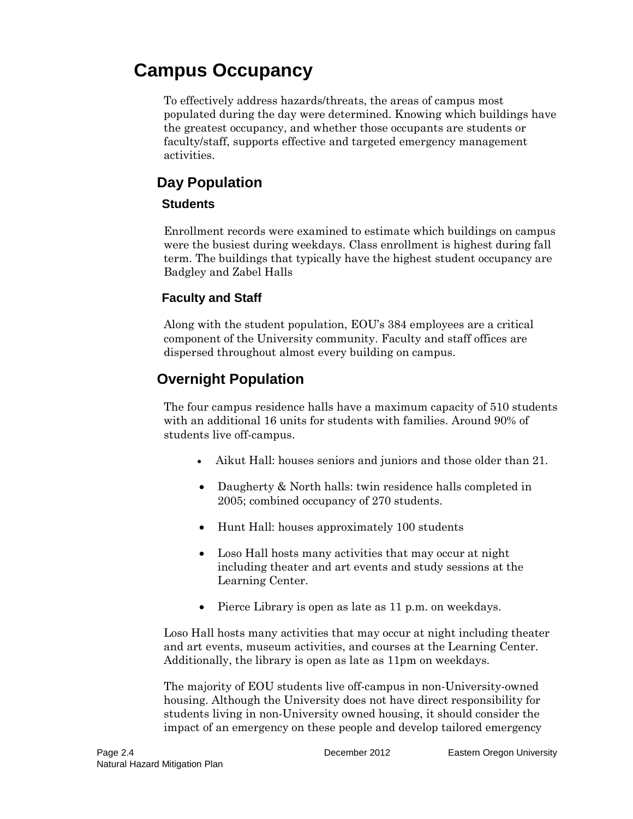# **Campus Occupancy**

To effectively address hazards/threats, the areas of campus most populated during the day were determined. Knowing which buildings have the greatest occupancy, and whether those occupants are students or faculty/staff, supports effective and targeted emergency management activities.

# **Day Population**

### **Students**

Enrollment records were examined to estimate which buildings on campus were the busiest during weekdays. Class enrollment is highest during fall term. The buildings that typically have the highest student occupancy are Badgley and Zabel Halls

## **Faculty and Staff**

Along with the student population, EOU's 384 employees are a critical component of the University community. Faculty and staff offices are dispersed throughout almost every building on campus.

# **Overnight Population**

The four campus residence halls have a maximum capacity of 510 students with an additional 16 units for students with families. Around 90% of students live off-campus.

- Aikut Hall: houses seniors and juniors and those older than 21.
- Daugherty & North halls: twin residence halls completed in 2005; combined occupancy of 270 students.
- Hunt Hall: houses approximately 100 students
- Loso Hall hosts many activities that may occur at night including theater and art events and study sessions at the Learning Center.
- Pierce Library is open as late as 11 p.m. on weekdays.

Loso Hall hosts many activities that may occur at night including theater and art events, museum activities, and courses at the Learning Center. Additionally, the library is open as late as 11pm on weekdays.

The majority of EOU students live off-campus in non-University-owned housing. Although the University does not have direct responsibility for students living in non-University owned housing, it should consider the impact of an emergency on these people and develop tailored emergency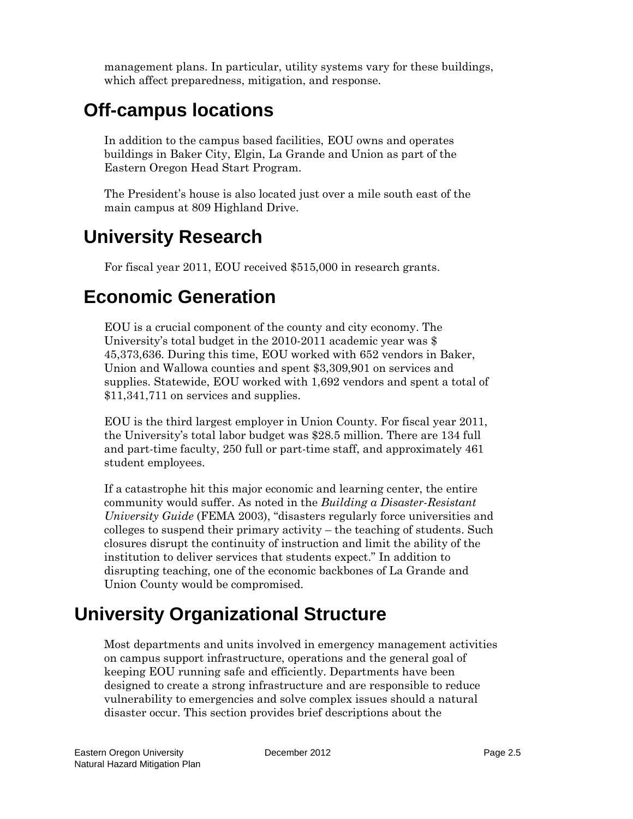management plans. In particular, utility systems vary for these buildings, which affect preparedness, mitigation, and response.

# **Off-campus locations**

In addition to the campus based facilities, EOU owns and operates buildings in Baker City, Elgin, La Grande and Union as part of the Eastern Oregon Head Start Program.

The President's house is also located just over a mile south east of the main campus at 809 Highland Drive.

# **University Research**

For fiscal year 2011, EOU received \$515,000 in research grants.

# **Economic Generation**

EOU is a crucial component of the county and city economy. The University's total budget in the 2010-2011 academic year was \$ 45,373,636. During this time, EOU worked with 652 vendors in Baker, Union and Wallowa counties and spent \$3,309,901 on services and supplies. Statewide, EOU worked with 1,692 vendors and spent a total of \$11,341,711 on services and supplies.

EOU is the third largest employer in Union County. For fiscal year 2011, the University's total labor budget was \$28.5 million. There are 134 full and part-time faculty, 250 full or part-time staff, and approximately 461 student employees.

If a catastrophe hit this major economic and learning center, the entire community would suffer. As noted in the *Building a Disaster-Resistant University Guide* (FEMA 2003), "disasters regularly force universities and colleges to suspend their primary activity – the teaching of students. Such closures disrupt the continuity of instruction and limit the ability of the institution to deliver services that students expect." In addition to disrupting teaching, one of the economic backbones of La Grande and Union County would be compromised.

# **University Organizational Structure**

Most departments and units involved in emergency management activities on campus support infrastructure, operations and the general goal of keeping EOU running safe and efficiently. Departments have been designed to create a strong infrastructure and are responsible to reduce vulnerability to emergencies and solve complex issues should a natural disaster occur. This section provides brief descriptions about the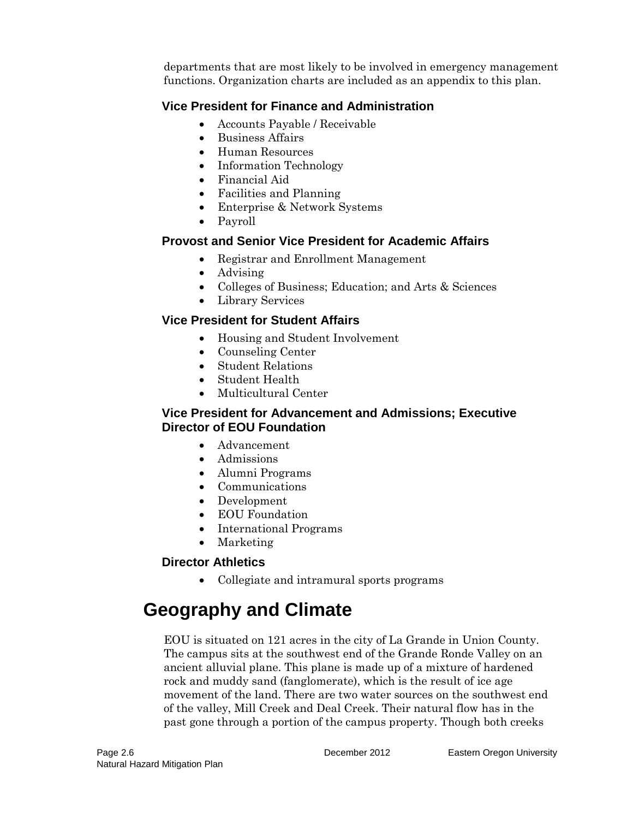departments that are most likely to be involved in emergency management functions. Organization charts are included as an appendix to this plan.

## **Vice President for Finance and Administration**

- Accounts Payable / Receivable
- Business Affairs
- Human Resources
- Information Technology
- Financial Aid
- Facilities and Planning
- Enterprise & Network Systems
- Payroll

### **Provost and Senior Vice President for Academic Affairs**

- Registrar and Enrollment Management
- Advising
- Colleges of Business; Education; and Arts & Sciences
- Library Services

## **Vice President for Student Affairs**

- Housing and Student Involvement
- Counseling Center
- Student Relations
- Student Health
- Multicultural Center

#### **Vice President for Advancement and Admissions; Executive Director of EOU Foundation**

- Advancement
- Admissions
- Alumni Programs
- Communications
- Development
- EOU Foundation
- International Programs
- Marketing

## **Director Athletics**

• Collegiate and intramural sports programs

# **Geography and Climate**

EOU is situated on 121 acres in the city of La Grande in Union County. The campus sits at the southwest end of the Grande Ronde Valley on an ancient alluvial plane. This plane is made up of a mixture of hardened rock and muddy sand (fanglomerate), which is the result of ice age movement of the land. There are two water sources on the southwest end of the valley, Mill Creek and Deal Creek. Their natural flow has in the past gone through a portion of the campus property. Though both creeks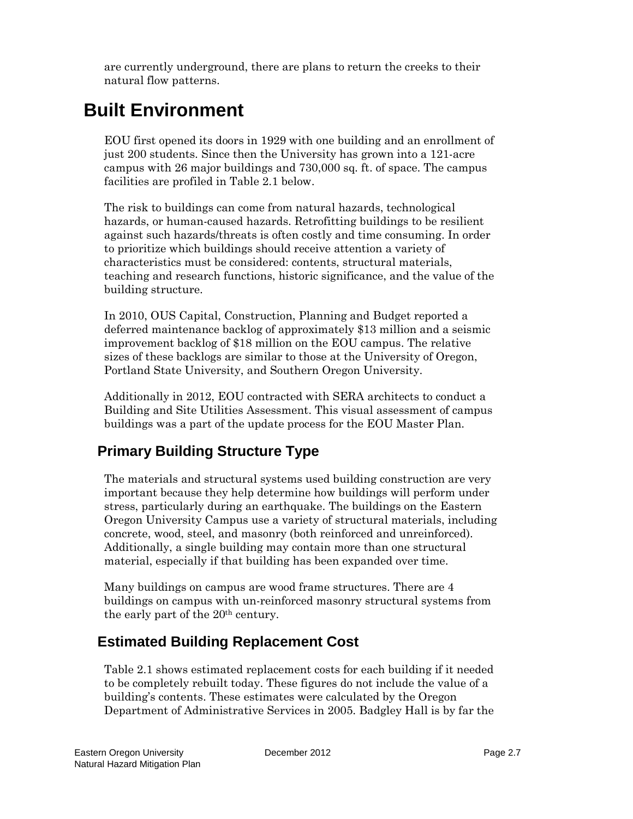are currently underground, there are plans to return the creeks to their natural flow patterns.

# **Built Environment**

EOU first opened its doors in 1929 with one building and an enrollment of just 200 students. Since then the University has grown into a 121-acre campus with 26 major buildings and 730,000 sq. ft. of space. The campus facilities are profiled in Table 2.1 below.

The risk to buildings can come from natural hazards, technological hazards, or human-caused hazards. Retrofitting buildings to be resilient against such hazards/threats is often costly and time consuming. In order to prioritize which buildings should receive attention a variety of characteristics must be considered: contents, structural materials, teaching and research functions, historic significance, and the value of the building structure.

In 2010, OUS Capital, Construction, Planning and Budget reported a deferred maintenance backlog of approximately \$13 million and a seismic improvement backlog of \$18 million on the EOU campus. The relative sizes of these backlogs are similar to those at the University of Oregon, Portland State University, and Southern Oregon University.

Additionally in 2012, EOU contracted with SERA architects to conduct a Building and Site Utilities Assessment. This visual assessment of campus buildings was a part of the update process for the EOU Master Plan.

# **Primary Building Structure Type**

The materials and structural systems used building construction are very important because they help determine how buildings will perform under stress, particularly during an earthquake. The buildings on the Eastern Oregon University Campus use a variety of structural materials, including concrete, wood, steel, and masonry (both reinforced and unreinforced). Additionally, a single building may contain more than one structural material, especially if that building has been expanded over time.

Many buildings on campus are wood frame structures. There are 4 buildings on campus with un-reinforced masonry structural systems from the early part of the 20th century.

# **Estimated Building Replacement Cost**

Table 2.1 shows estimated replacement costs for each building if it needed to be completely rebuilt today. These figures do not include the value of a building's contents. These estimates were calculated by the Oregon Department of Administrative Services in 2005. Badgley Hall is by far the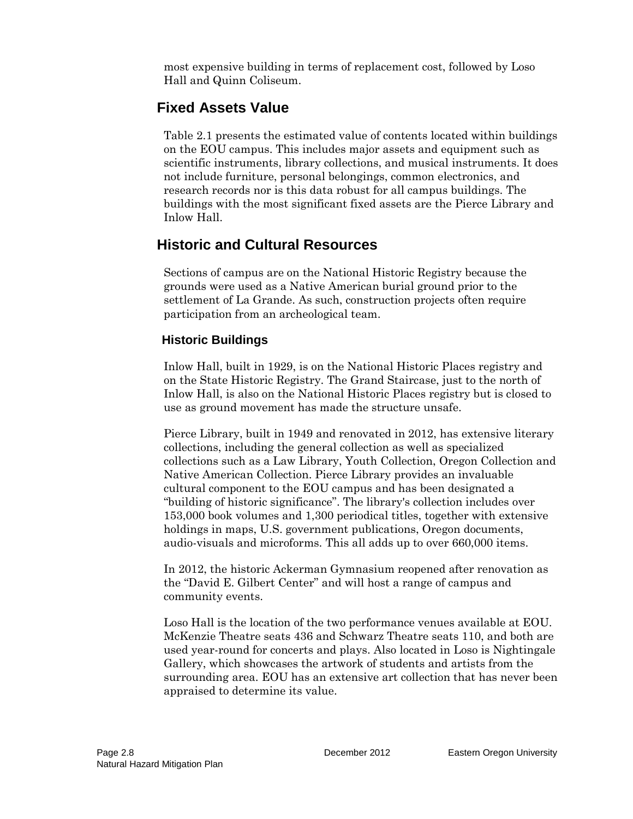most expensive building in terms of replacement cost, followed by Loso Hall and Quinn Coliseum.

# **Fixed Assets Value**

Table 2.1 presents the estimated value of contents located within buildings on the EOU campus. This includes major assets and equipment such as scientific instruments, library collections, and musical instruments. It does not include furniture, personal belongings, common electronics, and research records nor is this data robust for all campus buildings. The buildings with the most significant fixed assets are the Pierce Library and Inlow Hall.

# **Historic and Cultural Resources**

Sections of campus are on the National Historic Registry because the grounds were used as a Native American burial ground prior to the settlement of La Grande. As such, construction projects often require participation from an archeological team.

## **Historic Buildings**

Inlow Hall, built in 1929, is on the National Historic Places registry and on the State Historic Registry. The Grand Staircase, just to the north of Inlow Hall, is also on the National Historic Places registry but is closed to use as ground movement has made the structure unsafe.

Pierce Library, built in 1949 and renovated in 2012, has extensive literary collections, including the general collection as well as specialized collections such as a Law Library, Youth Collection, Oregon Collection and Native American Collection. Pierce Library provides an invaluable cultural component to the EOU campus and has been designated a "building of historic significance". The library's collection includes over 153,000 book volumes and 1,300 periodical titles, together with extensive holdings in maps, U.S. government publications, Oregon documents, audio-visuals and microforms. This all adds up to over 660,000 items.

In 2012, the historic Ackerman Gymnasium reopened after renovation as the "David E. Gilbert Center" and will host a range of campus and community events.

Loso Hall is the location of the two performance venues available at EOU. McKenzie Theatre seats 436 and Schwarz Theatre seats 110, and both are used year-round for concerts and plays. Also located in Loso is Nightingale Gallery, which showcases the artwork of students and artists from the surrounding area. EOU has an extensive art collection that has never been appraised to determine its value.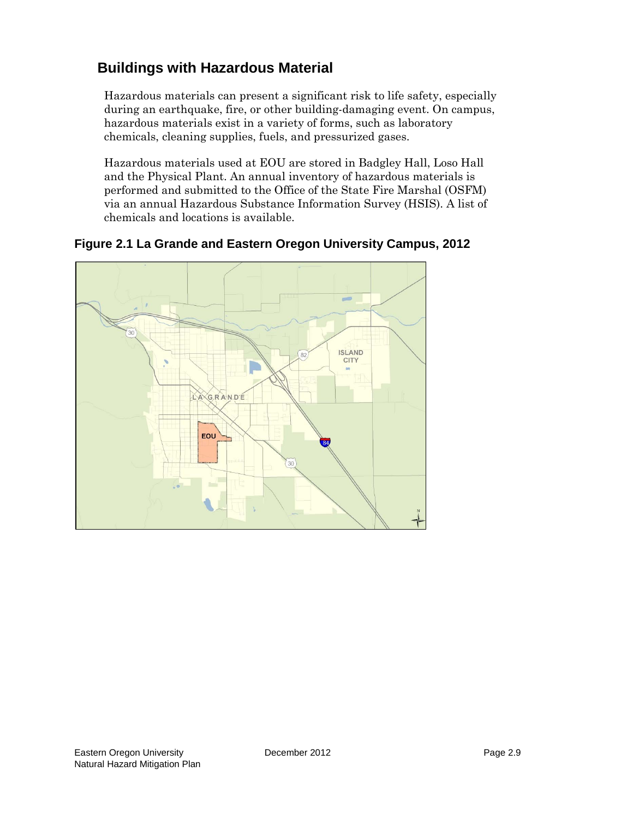# **Buildings with Hazardous Material**

Hazardous materials can present a significant risk to life safety, especially during an earthquake, fire, or other building-damaging event. On campus, hazardous materials exist in a variety of forms, such as laboratory chemicals, cleaning supplies, fuels, and pressurized gases.

Hazardous materials used at EOU are stored in Badgley Hall, Loso Hall and the Physical Plant. An annual inventory of hazardous materials is performed and submitted to the Office of the State Fire Marshal (OSFM) via an annual Hazardous Substance Information Survey (HSIS). A list of chemicals and locations is available.



**Figure 2.1 La Grande and Eastern Oregon University Campus, 2012**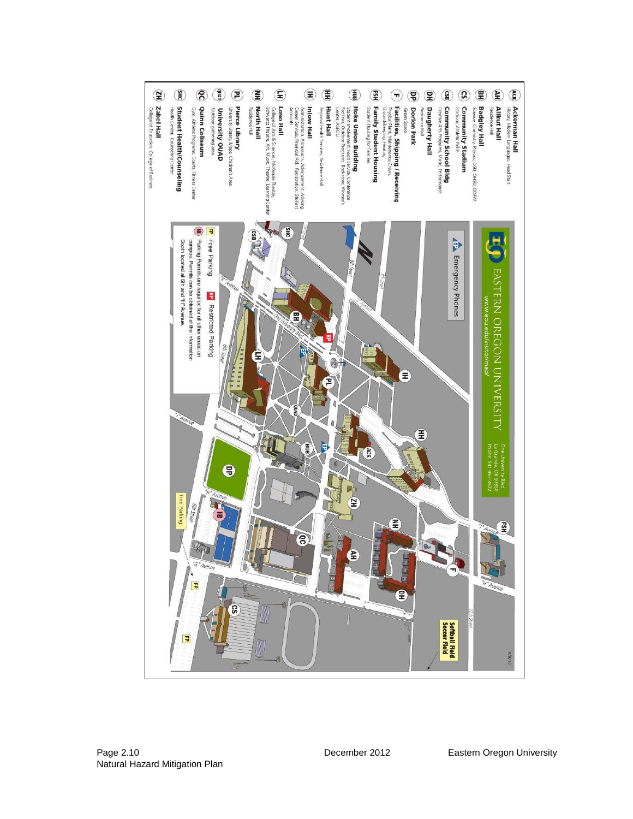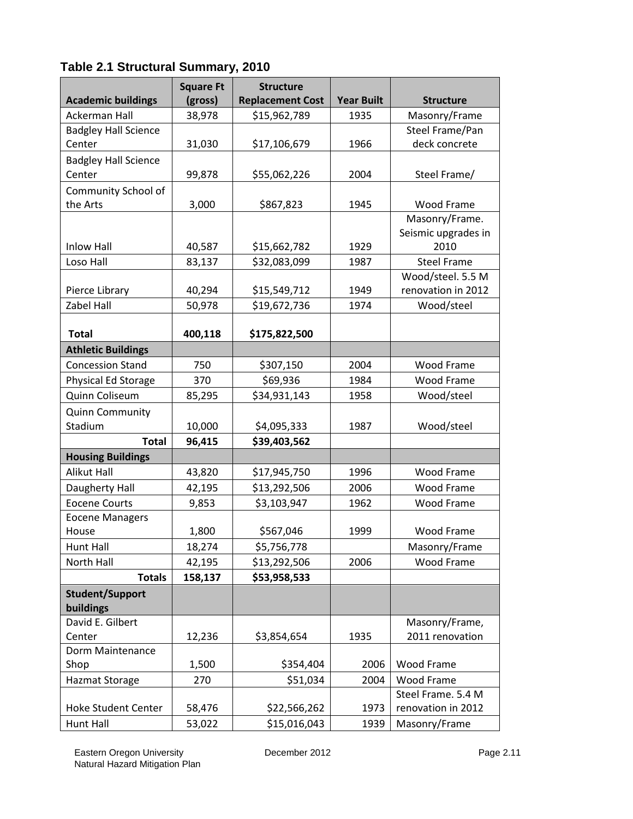|                             | <b>Square Ft</b> | <b>Structure</b>        |                   |                     |
|-----------------------------|------------------|-------------------------|-------------------|---------------------|
| <b>Academic buildings</b>   | (gross)          | <b>Replacement Cost</b> | <b>Year Built</b> | <b>Structure</b>    |
| Ackerman Hall               | 38,978           | \$15,962,789            | 1935              | Masonry/Frame       |
| <b>Badgley Hall Science</b> |                  |                         |                   | Steel Frame/Pan     |
| Center                      | 31,030           | \$17,106,679            | 1966              | deck concrete       |
| <b>Badgley Hall Science</b> |                  |                         |                   |                     |
| Center                      | 99,878           | \$55,062,226            | 2004              | Steel Frame/        |
| Community School of         |                  |                         |                   |                     |
| the Arts                    | 3,000            | \$867,823               | 1945              | Wood Frame          |
|                             |                  |                         |                   | Masonry/Frame.      |
|                             |                  |                         |                   | Seismic upgrades in |
| <b>Inlow Hall</b>           | 40,587           | \$15,662,782            | 1929              | 2010                |
| Loso Hall                   | 83,137           | \$32,083,099            | 1987              | <b>Steel Frame</b>  |
|                             |                  |                         |                   | Wood/steel. 5.5 M   |
| Pierce Library              | 40,294           | \$15,549,712            | 1949              | renovation in 2012  |
| Zabel Hall                  | 50,978           | \$19,672,736            | 1974              | Wood/steel          |
|                             |                  |                         |                   |                     |
| <b>Total</b>                | 400,118          | \$175,822,500           |                   |                     |
| <b>Athletic Buildings</b>   |                  |                         |                   |                     |
| <b>Concession Stand</b>     | 750              | \$307,150               | 2004              | Wood Frame          |
| Physical Ed Storage         | 370              | \$69,936                | 1984              | <b>Wood Frame</b>   |
| Quinn Coliseum              | 85,295           | \$34,931,143            | 1958              | Wood/steel          |
| <b>Quinn Community</b>      |                  |                         |                   |                     |
| Stadium                     | 10,000           | \$4,095,333             | 1987              | Wood/steel          |
| <b>Total</b>                | 96,415           | \$39,403,562            |                   |                     |
| <b>Housing Buildings</b>    |                  |                         |                   |                     |
| <b>Alikut Hall</b>          | 43,820           | \$17,945,750            | 1996              | Wood Frame          |
| Daugherty Hall              | 42,195           | \$13,292,506            | 2006              | Wood Frame          |
| <b>Eocene Courts</b>        | 9,853            | \$3,103,947             | 1962              | Wood Frame          |
| <b>Eocene Managers</b>      |                  |                         |                   |                     |
| House                       | 1,800            | \$567,046               | 1999              | <b>Wood Frame</b>   |
| Hunt Hall                   | 18,274           | \$5,756,778             |                   | Masonry/Frame       |
| North Hall                  | 42,195           | \$13,292,506            | 2006              | <b>Wood Frame</b>   |
| <b>Totals</b>               | 158,137          | \$53,958,533            |                   |                     |
| Student/Support             |                  |                         |                   |                     |
| buildings                   |                  |                         |                   |                     |
| David E. Gilbert            |                  |                         |                   | Masonry/Frame,      |
| Center                      | 12,236           | \$3,854,654             | 1935              | 2011 renovation     |
| Dorm Maintenance            |                  |                         |                   |                     |
| Shop                        | 1,500            | \$354,404               | 2006              | Wood Frame          |
| <b>Hazmat Storage</b>       | 270              | \$51,034                | 2004              | Wood Frame          |
|                             |                  |                         |                   | Steel Frame. 5.4 M  |
| <b>Hoke Student Center</b>  | 58,476           | \$22,566,262            | 1973              | renovation in 2012  |
| Hunt Hall                   | 53,022           | \$15,016,043            | 1939              | Masonry/Frame       |

# **Table 2.1 Structural Summary, 2010**

Eastern Oregon University December 2012 Page 2.11 Natural Hazard Mitigation Plan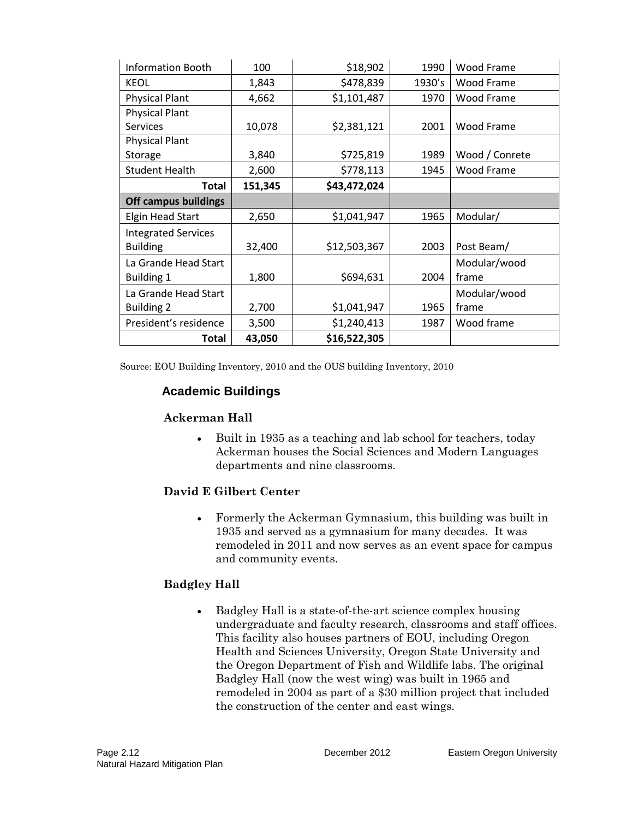| <b>Information Booth</b>    | 100     | \$18,902     | 1990   | Wood Frame     |
|-----------------------------|---------|--------------|--------|----------------|
| <b>KEOL</b>                 | 1,843   | \$478,839    | 1930's | Wood Frame     |
| <b>Physical Plant</b>       | 4,662   | \$1,101,487  | 1970   | Wood Frame     |
| <b>Physical Plant</b>       |         |              |        |                |
| <b>Services</b>             | 10,078  | \$2,381,121  | 2001   | Wood Frame     |
| <b>Physical Plant</b>       |         |              |        |                |
| Storage                     | 3,840   | \$725,819    | 1989   | Wood / Conrete |
| <b>Student Health</b>       | 2,600   | \$778,113    | 1945   | Wood Frame     |
| Total                       | 151,345 | \$43,472,024 |        |                |
| <b>Off campus buildings</b> |         |              |        |                |
| <b>Elgin Head Start</b>     | 2,650   | \$1,041,947  | 1965   | Modular/       |
| <b>Integrated Services</b>  |         |              |        |                |
| <b>Building</b>             | 32,400  | \$12,503,367 | 2003   | Post Beam/     |
| La Grande Head Start        |         |              |        | Modular/wood   |
| <b>Building 1</b>           | 1,800   | \$694,631    | 2004   | frame          |
| La Grande Head Start        |         |              |        | Modular/wood   |
| <b>Building 2</b>           | 2,700   | \$1,041,947  | 1965   | frame          |
| President's residence       | 3,500   | \$1,240,413  | 1987   | Wood frame     |
| Total                       | 43,050  | \$16,522,305 |        |                |

Source: EOU Building Inventory, 2010 and the OUS building Inventory, 2010

## **Academic Buildings**

#### **Ackerman Hall**

• Built in 1935 as a teaching and lab school for teachers, today Ackerman houses the Social Sciences and Modern Languages departments and nine classrooms.

#### **David E Gilbert Center**

• Formerly the Ackerman Gymnasium, this building was built in 1935 and served as a gymnasium for many decades. It was remodeled in 2011 and now serves as an event space for campus and community events.

#### **Badgley Hall**

• Badgley Hall is a state-of-the-art science complex housing undergraduate and faculty research, classrooms and staff offices. This facility also houses partners of EOU, including Oregon Health and Sciences University, Oregon State University and the Oregon Department of Fish and Wildlife labs. The original Badgley Hall (now the west wing) was built in 1965 and remodeled in 2004 as part of a \$30 million project that included the construction of the center and east wings.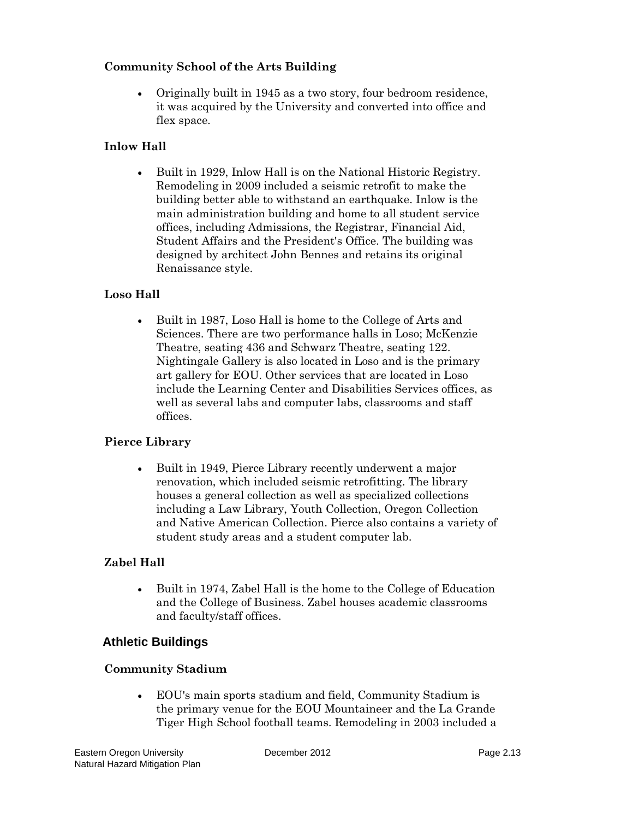#### **Community School of the Arts Building**

• Originally built in 1945 as a two story, four bedroom residence, it was acquired by the University and converted into office and flex space.

#### **Inlow Hall**

• Built in 1929, Inlow Hall is on the National Historic Registry. Remodeling in 2009 included a seismic retrofit to make the building better able to withstand an earthquake. Inlow is the main administration building and home to all student service offices, including Admissions, the Registrar, Financial Aid, Student Affairs and the President's Office. The building was designed by architect John Bennes and retains its original Renaissance style.

#### **Loso Hall**

• Built in 1987, Loso Hall is home to the College of Arts and Sciences. There are two performance halls in Loso; McKenzie Theatre, seating 436 and Schwarz Theatre, seating 122. Nightingale Gallery is also located in Loso and is the primary art gallery for EOU. Other services that are located in Loso include the Learning Center and Disabilities Services offices, as well as several labs and computer labs, classrooms and staff offices.

#### **Pierce Library**

• Built in 1949, Pierce Library recently underwent a major renovation, which included seismic retrofitting. The library houses a general collection as well as specialized collections including a Law Library, Youth Collection, Oregon Collection and Native American Collection. Pierce also contains a variety of student study areas and a student computer lab.

#### **Zabel Hall**

• Built in 1974, Zabel Hall is the home to the College of Education and the College of Business. Zabel houses academic classrooms and faculty/staff offices.

#### **Athletic Buildings**

#### **Community Stadium**

• EOU's main sports stadium and field, Community Stadium is the primary venue for the EOU Mountaineer and the La Grande Tiger High School football teams. Remodeling in 2003 included a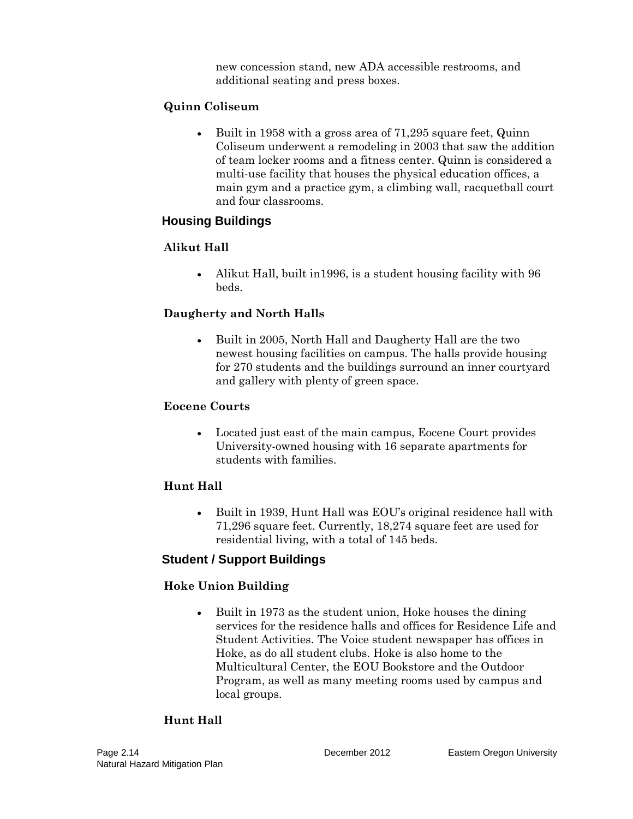new concession stand, new ADA accessible restrooms, and additional seating and press boxes.

#### **Quinn Coliseum**

• Built in 1958 with a gross area of 71,295 square feet, Quinn Coliseum underwent a remodeling in 2003 that saw the addition of team locker rooms and a fitness center. Quinn is considered a multi-use facility that houses the physical education offices, a main gym and a practice gym, a climbing wall, racquetball court and four classrooms.

## **Housing Buildings**

## **Alikut Hall**

• Alikut Hall, built in 1996, is a student housing facility with 96 beds.

## **Daugherty and North Halls**

• Built in 2005, North Hall and Daugherty Hall are the two newest housing facilities on campus. The halls provide housing for 270 students and the buildings surround an inner courtyard and gallery with plenty of green space.

### **Eocene Courts**

• Located just east of the main campus, Eocene Court provides University-owned housing with 16 separate apartments for students with families.

## **Hunt Hall**

• Built in 1939, Hunt Hall was EOU's original residence hall with 71,296 square feet. Currently, 18,274 square feet are used for residential living, with a total of 145 beds.

## **Student / Support Buildings**

## **Hoke Union Building**

• Built in 1973 as the student union, Hoke houses the dining services for the residence halls and offices for Residence Life and Student Activities. The Voice student newspaper has offices in Hoke, as do all student clubs. Hoke is also home to the Multicultural Center, the EOU Bookstore and the Outdoor Program, as well as many meeting rooms used by campus and local groups.

## **Hunt Hall**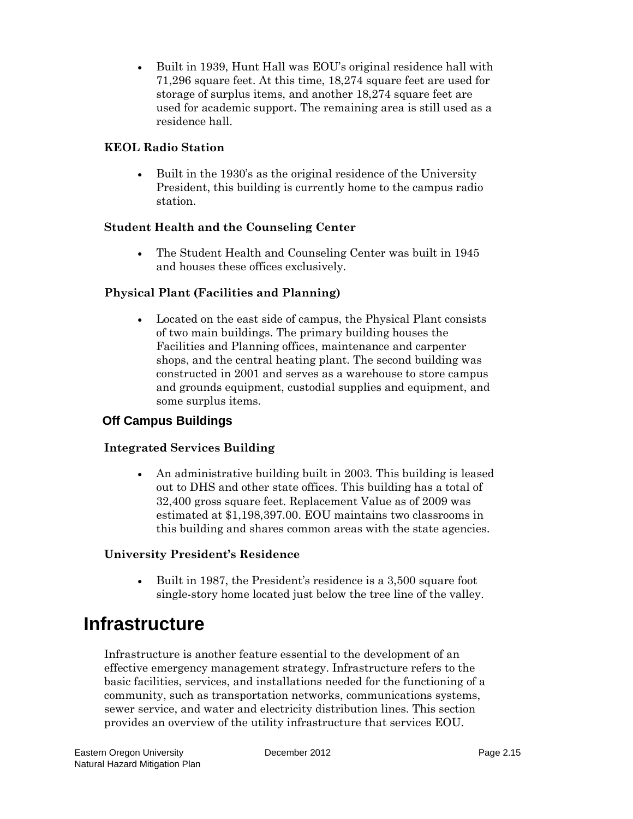• Built in 1939, Hunt Hall was EOU's original residence hall with 71,296 square feet. At this time, 18,274 square feet are used for storage of surplus items, and another 18,274 square feet are used for academic support. The remaining area is still used as a residence hall.

#### **KEOL Radio Station**

• Built in the 1930's as the original residence of the University President, this building is currently home to the campus radio station.

### **Student Health and the Counseling Center**

• The Student Health and Counseling Center was built in 1945 and houses these offices exclusively.

## **Physical Plant (Facilities and Planning)**

• Located on the east side of campus, the Physical Plant consists of two main buildings. The primary building houses the Facilities and Planning offices, maintenance and carpenter shops, and the central heating plant. The second building was constructed in 2001 and serves as a warehouse to store campus and grounds equipment, custodial supplies and equipment, and some surplus items.

## **Off Campus Buildings**

#### **Integrated Services Building**

• An administrative building built in 2003. This building is leased out to DHS and other state offices. This building has a total of 32,400 gross square feet. Replacement Value as of 2009 was estimated at \$1,198,397.00. EOU maintains two classrooms in this building and shares common areas with the state agencies.

#### **University President's Residence**

• Built in 1987, the President's residence is a 3,500 square foot single-story home located just below the tree line of the valley.

# **Infrastructure**

Infrastructure is another feature essential to the development of an effective emergency management strategy. Infrastructure refers to the basic facilities, services, and installations needed for the functioning of a community, such as transportation networks, communications systems, sewer service, and water and electricity distribution lines. This section provides an overview of the utility infrastructure that services EOU.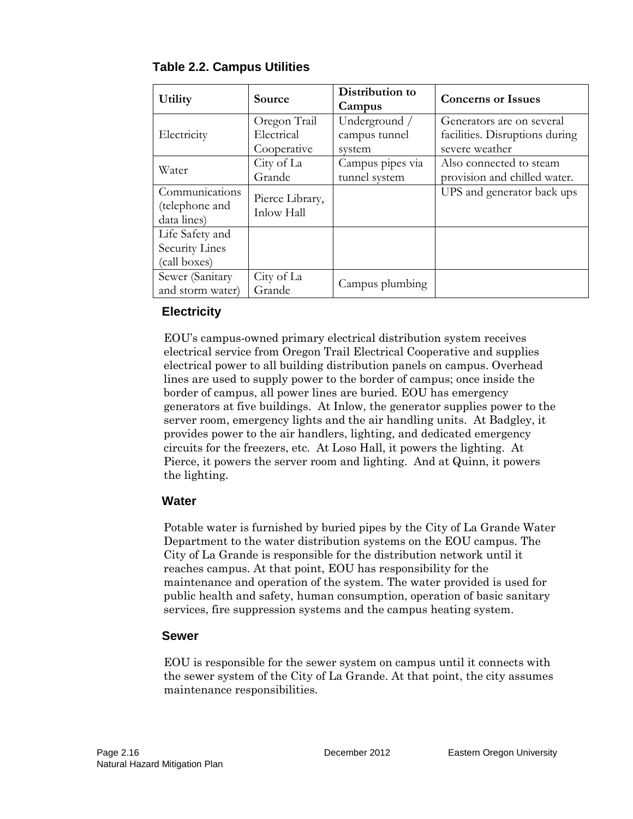| Utility                                           | Source                                    | Distribution to<br>Campus                | <b>Concerns or Issues</b>                                                     |
|---------------------------------------------------|-------------------------------------------|------------------------------------------|-------------------------------------------------------------------------------|
| Electricity                                       | Oregon Trail<br>Electrical<br>Cooperative | Underground /<br>campus tunnel<br>system | Generators are on several<br>facilities. Disruptions during<br>severe weather |
| Water                                             | City of La<br>Grande                      | Campus pipes via<br>tunnel system        | Also connected to steam<br>provision and chilled water.                       |
| Communications<br>(telephone and<br>data lines)   | Pierce Library,<br>Inlow Hall             |                                          | UPS and generator back ups                                                    |
| Life Safety and<br>Security Lines<br>(call boxes) |                                           |                                          |                                                                               |
| Sewer (Sanitary<br>and storm water)               | City of La<br>Grande                      | Campus plumbing                          |                                                                               |

### **Table 2.2. Campus Utilities**

## **Electricity**

EOU's campus-owned primary electrical distribution system receives electrical service from Oregon Trail Electrical Cooperative and supplies electrical power to all building distribution panels on campus. Overhead lines are used to supply power to the border of campus; once inside the border of campus, all power lines are buried. EOU has emergency generators at five buildings. At Inlow, the generator supplies power to the server room, emergency lights and the air handling units. At Badgley, it provides power to the air handlers, lighting, and dedicated emergency circuits for the freezers, etc. At Loso Hall, it powers the lighting. At Pierce, it powers the server room and lighting. And at Quinn, it powers the lighting.

#### **Water**

Potable water is furnished by buried pipes by the City of La Grande Water Department to the water distribution systems on the EOU campus. The City of La Grande is responsible for the distribution network until it reaches campus. At that point, EOU has responsibility for the maintenance and operation of the system. The water provided is used for public health and safety, human consumption, operation of basic sanitary services, fire suppression systems and the campus heating system.

#### **Sewer**

EOU is responsible for the sewer system on campus until it connects with the sewer system of the City of La Grande. At that point, the city assumes maintenance responsibilities.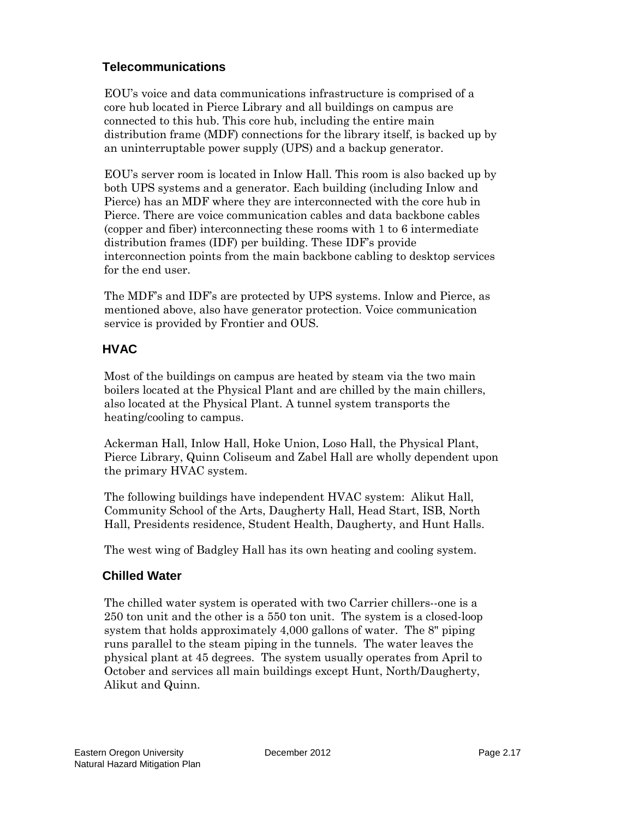## **Telecommunications**

EOU's voice and data communications infrastructure is comprised of a core hub located in Pierce Library and all buildings on campus are connected to this hub. This core hub, including the entire main distribution frame (MDF) connections for the library itself, is backed up by an uninterruptable power supply (UPS) and a backup generator.

EOU's server room is located in Inlow Hall. This room is also backed up by both UPS systems and a generator. Each building (including Inlow and Pierce) has an MDF where they are interconnected with the core hub in Pierce. There are voice communication cables and data backbone cables (copper and fiber) interconnecting these rooms with 1 to 6 intermediate distribution frames (IDF) per building. These IDF's provide interconnection points from the main backbone cabling to desktop services for the end user.

The MDF's and IDF's are protected by UPS systems. Inlow and Pierce, as mentioned above, also have generator protection. Voice communication service is provided by Frontier and OUS.

## **HVAC**

Most of the buildings on campus are heated by steam via the two main boilers located at the Physical Plant and are chilled by the main chillers, also located at the Physical Plant. A tunnel system transports the heating/cooling to campus.

Ackerman Hall, Inlow Hall, Hoke Union, Loso Hall, the Physical Plant, Pierce Library, Quinn Coliseum and Zabel Hall are wholly dependent upon the primary HVAC system.

The following buildings have independent HVAC system: Alikut Hall, Community School of the Arts, Daugherty Hall, Head Start, ISB, North Hall, Presidents residence, Student Health, Daugherty, and Hunt Halls.

The west wing of Badgley Hall has its own heating and cooling system.

## **Chilled Water**

The chilled water system is operated with two Carrier chillers--one is a 250 ton unit and the other is a 550 ton unit. The system is a closed-loop system that holds approximately 4,000 gallons of water. The 8" piping runs parallel to the steam piping in the tunnels. The water leaves the physical plant at 45 degrees. The system usually operates from April to October and services all main buildings except Hunt, North/Daugherty, Alikut and Quinn.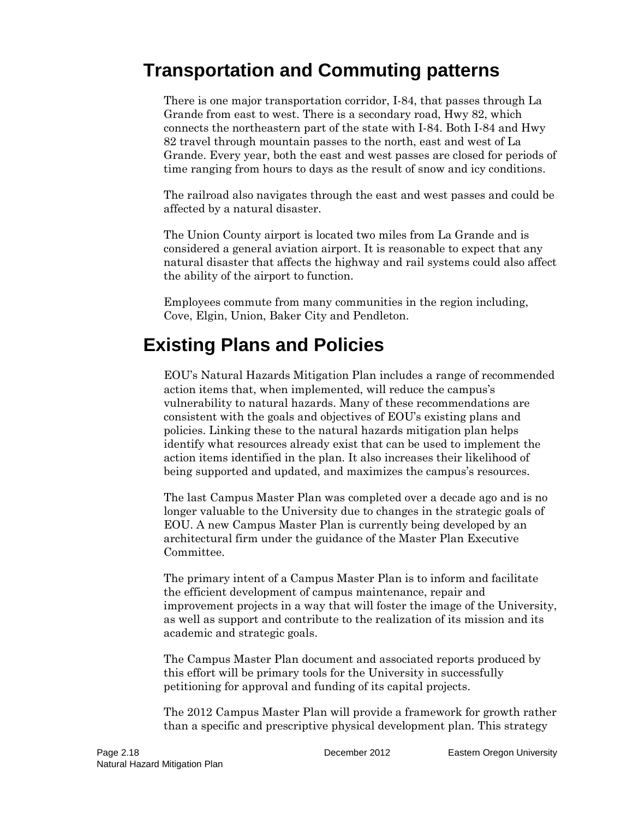# **Transportation and Commuting patterns**

There is one major transportation corridor, I-84, that passes through La Grande from east to west. There is a secondary road, Hwy 82, which connects the northeastern part of the state with I-84. Both I-84 and Hwy 82 travel through mountain passes to the north, east and west of La Grande. Every year, both the east and west passes are closed for periods of time ranging from hours to days as the result of snow and icy conditions.

The railroad also navigates through the east and west passes and could be affected by a natural disaster.

The Union County airport is located two miles from La Grande and is considered a general aviation airport. It is reasonable to expect that any natural disaster that affects the highway and rail systems could also affect the ability of the airport to function.

Employees commute from many communities in the region including, Cove, Elgin, Union, Baker City and Pendleton.

# **Existing Plans and Policies**

EOU's Natural Hazards Mitigation Plan includes a range of recommended action items that, when implemented, will reduce the campus's vulnerability to natural hazards. Many of these recommendations are consistent with the goals and objectives of EOU's existing plans and policies. Linking these to the natural hazards mitigation plan helps identify what resources already exist that can be used to implement the action items identified in the plan. It also increases their likelihood of being supported and updated, and maximizes the campus's resources.

The last Campus Master Plan was completed over a decade ago and is no longer valuable to the University due to changes in the strategic goals of EOU. A new Campus Master Plan is currently being developed by an architectural firm under the guidance of the Master Plan Executive Committee.

The primary intent of a Campus Master Plan is to inform and facilitate the efficient development of campus maintenance, repair and improvement projects in a way that will foster the image of the University, as well as support and contribute to the realization of its mission and its academic and strategic goals.

The Campus Master Plan document and associated reports produced by this effort will be primary tools for the University in successfully petitioning for approval and funding of its capital projects.

The 2012 Campus Master Plan will provide a framework for growth rather than a specific and prescriptive physical development plan. This strategy